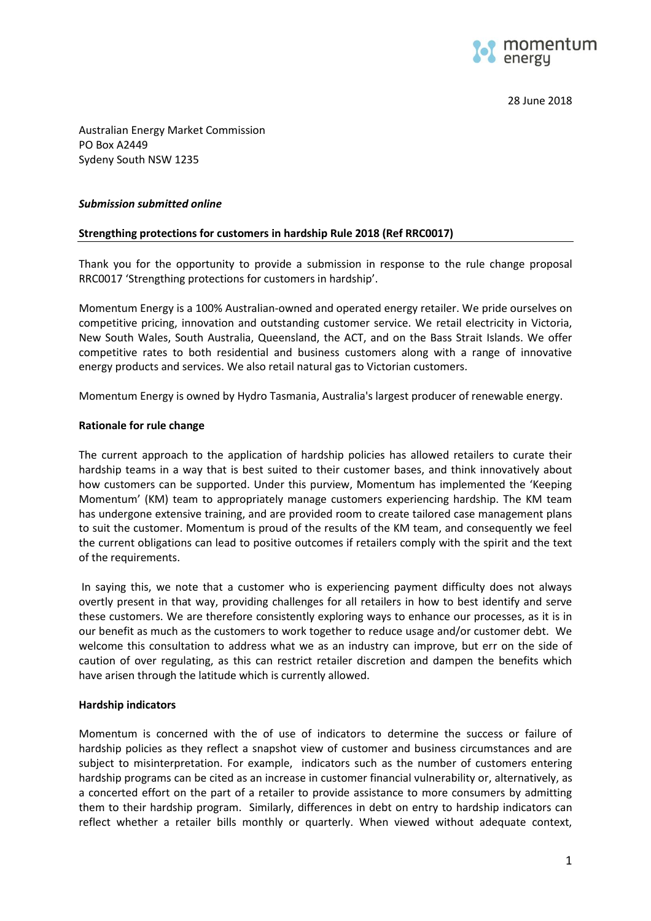

28 June 2018

Australian Energy Market Commission PO Box A2449 Sydeny South NSW 1235

## *Submission submitted online*

## **Strengthing protections for customers in hardship Rule 2018 (Ref RRC0017)**

Thank you for the opportunity to provide a submission in response to the rule change proposal RRC0017 'Strengthing protections for customers in hardship'.

Momentum Energy is a 100% Australian-owned and operated energy retailer. We pride ourselves on competitive pricing, innovation and outstanding customer service. We retail electricity in Victoria, New South Wales, South Australia, Queensland, the ACT, and on the Bass Strait Islands. We offer competitive rates to both residential and business customers along with a range of innovative energy products and services. We also retail natural gas to Victorian customers.

Momentum Energy is owned by [Hydro Tasmania,](http://www.momentumenergy.com.au/about-us/hydro-tasmania-group) Australia's largest producer of renewable energy.

## **Rationale for rule change**

The current approach to the application of hardship policies has allowed retailers to curate their hardship teams in a way that is best suited to their customer bases, and think innovatively about how customers can be supported. Under this purview, Momentum has implemented the 'Keeping Momentum' (KM) team to appropriately manage customers experiencing hardship. The KM team has undergone extensive training, and are provided room to create tailored case management plans to suit the customer. Momentum is proud of the results of the KM team, and consequently we feel the current obligations can lead to positive outcomes if retailers comply with the spirit and the text of the requirements.

In saying this, we note that a customer who is experiencing payment difficulty does not always overtly present in that way, providing challenges for all retailers in how to best identify and serve these customers. We are therefore consistently exploring ways to enhance our processes, as it is in our benefit as much as the customers to work together to reduce usage and/or customer debt. We welcome this consultation to address what we as an industry can improve, but err on the side of caution of over regulating, as this can restrict retailer discretion and dampen the benefits which have arisen through the latitude which is currently allowed.

#### **Hardship indicators**

Momentum is concerned with the of use of indicators to determine the success or failure of hardship policies as they reflect a snapshot view of customer and business circumstances and are subject to misinterpretation. For example, indicators such as the number of customers entering hardship programs can be cited as an increase in customer financial vulnerability or, alternatively, as a concerted effort on the part of a retailer to provide assistance to more consumers by admitting them to their hardship program. Similarly, differences in debt on entry to hardship indicators can reflect whether a retailer bills monthly or quarterly. When viewed without adequate context,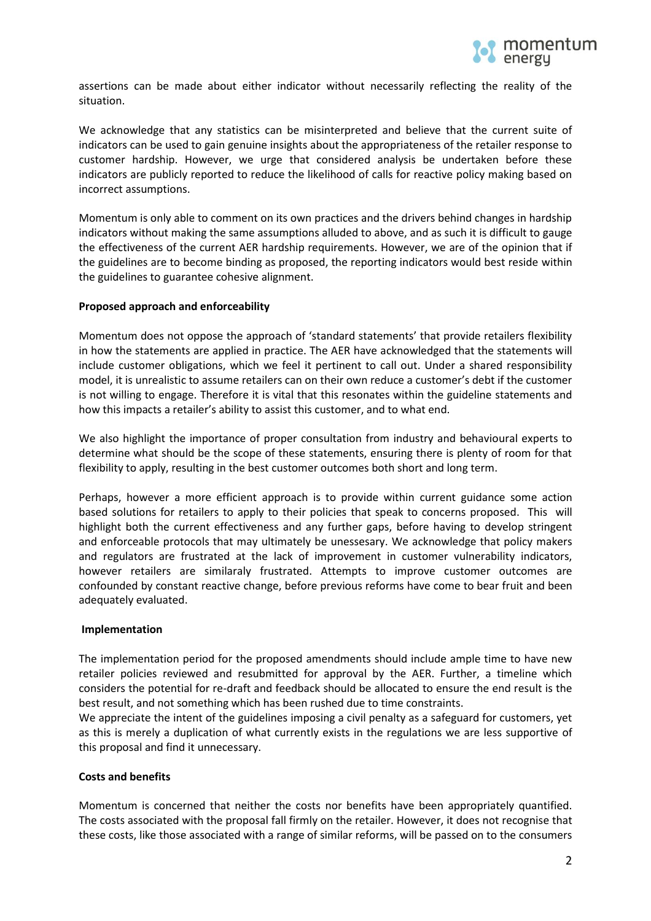

assertions can be made about either indicator without necessarily reflecting the reality of the situation.

We acknowledge that any statistics can be misinterpreted and believe that the current suite of indicators can be used to gain genuine insights about the appropriateness of the retailer response to customer hardship. However, we urge that considered analysis be undertaken before these indicators are publicly reported to reduce the likelihood of calls for reactive policy making based on incorrect assumptions.

Momentum is only able to comment on its own practices and the drivers behind changes in hardship indicators without making the same assumptions alluded to above, and as such it is difficult to gauge the effectiveness of the current AER hardship requirements. However, we are of the opinion that if the guidelines are to become binding as proposed, the reporting indicators would best reside within the guidelines to guarantee cohesive alignment.

# **Proposed approach and enforceability**

Momentum does not oppose the approach of 'standard statements' that provide retailers flexibility in how the statements are applied in practice. The AER have acknowledged that the statements will include customer obligations, which we feel it pertinent to call out. Under a shared responsibility model, it is unrealistic to assume retailers can on their own reduce a customer's debt if the customer is not willing to engage. Therefore it is vital that this resonates within the guideline statements and how this impacts a retailer's ability to assist this customer, and to what end.

We also highlight the importance of proper consultation from industry and behavioural experts to determine what should be the scope of these statements, ensuring there is plenty of room for that flexibility to apply, resulting in the best customer outcomes both short and long term.

Perhaps, however a more efficient approach is to provide within current guidance some action based solutions for retailers to apply to their policies that speak to concerns proposed. This will highlight both the current effectiveness and any further gaps, before having to develop stringent and enforceable protocols that may ultimately be unessesary. We acknowledge that policy makers and regulators are frustrated at the lack of improvement in customer vulnerability indicators, however retailers are similaraly frustrated. Attempts to improve customer outcomes are confounded by constant reactive change, before previous reforms have come to bear fruit and been adequately evaluated.

#### **Implementation**

The implementation period for the proposed amendments should include ample time to have new retailer policies reviewed and resubmitted for approval by the AER. Further, a timeline which considers the potential for re-draft and feedback should be allocated to ensure the end result is the best result, and not something which has been rushed due to time constraints.

We appreciate the intent of the guidelines imposing a civil penalty as a safeguard for customers, yet as this is merely a duplication of what currently exists in the regulations we are less supportive of this proposal and find it unnecessary.

# **Costs and benefits**

Momentum is concerned that neither the costs nor benefits have been appropriately quantified. The costs associated with the proposal fall firmly on the retailer. However, it does not recognise that these costs, like those associated with a range of similar reforms, will be passed on to the consumers